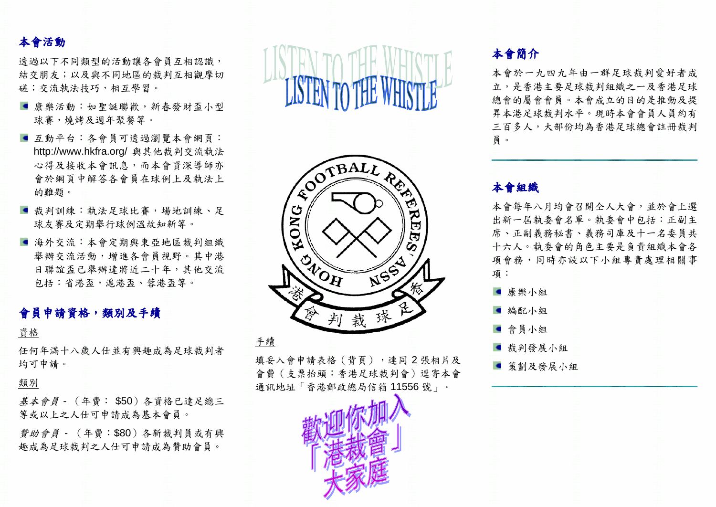## 本會活動

诱過以下不同類型的活動讓各會員互相認識, 結交朋友;以及與不同地區的裁判互相觀摩切 磋;交流執法技巧,相互學習。

- 康樂活動:如聖誕聯歡,新春發財盃小型 球賽,燒烤及週年聚餐等。
- 互動平台:各會員可透過瀏覽本會網頁: http://www.hkfra.org/ 與其他裁判交流執法 心得及接收本會訊息,而本會資深導師亦 會於網頁中解答各會員在球例上及執法上 的難題。
- ■裁判訓練:執法足球比賽,場地訓練、足 球友賽及定期舉行球例溫故知新等。
- 海外交流:本會定期與東亞地區裁判組織 舉辦交流活動,增進各會員視野。其中港 日聯誼盃已舉辦達將近二十年,其他交流 包括︰省港盃,滬港盃、蓉港盃等。

### 會員申請資格,類別及手續

#### 資格

任何年滿十八歲人仕並有興趣成為足球裁判者 均可申請。

#### 類別

基本會員 - (年費︰ \$50)各資格已達足總三 等或以上之人仕可申請成為基本會員。

贊助會員 - (年費︰\$80)各新裁判員或有興 趣成為足球裁判之人仕可申請成為贊助會員。

**LISTEN TO THE W** 



填妥入會申請表格(背頁),連同2張相片及 會費(支票抬頭:香港足球裁判會)逕寄本會 通訊地址「香港郵政總局信箱 11556 號」。



### 本會簡介

本會於一九四九年由一群足球裁判愛好者成 立,是香港主要足球裁判組織之一及香港足球 總會的屬會會員。本會成立的目的是推動及提 昇本港足球裁判水平。現時本會會員人員約有 三百多人,大部份均為香港足球總會註冊裁判 員。

### 本會組織

本會每年八月均會召開仝人大會,並於會上選 出新一屆執委會名單。執委會中包括︰正副主 席、正副義務秘書、義務司庫及十一名委員共 十六人。執委會的角色主要是負責組織本會各 項會務,同時亦設以下小組專責處理相關事